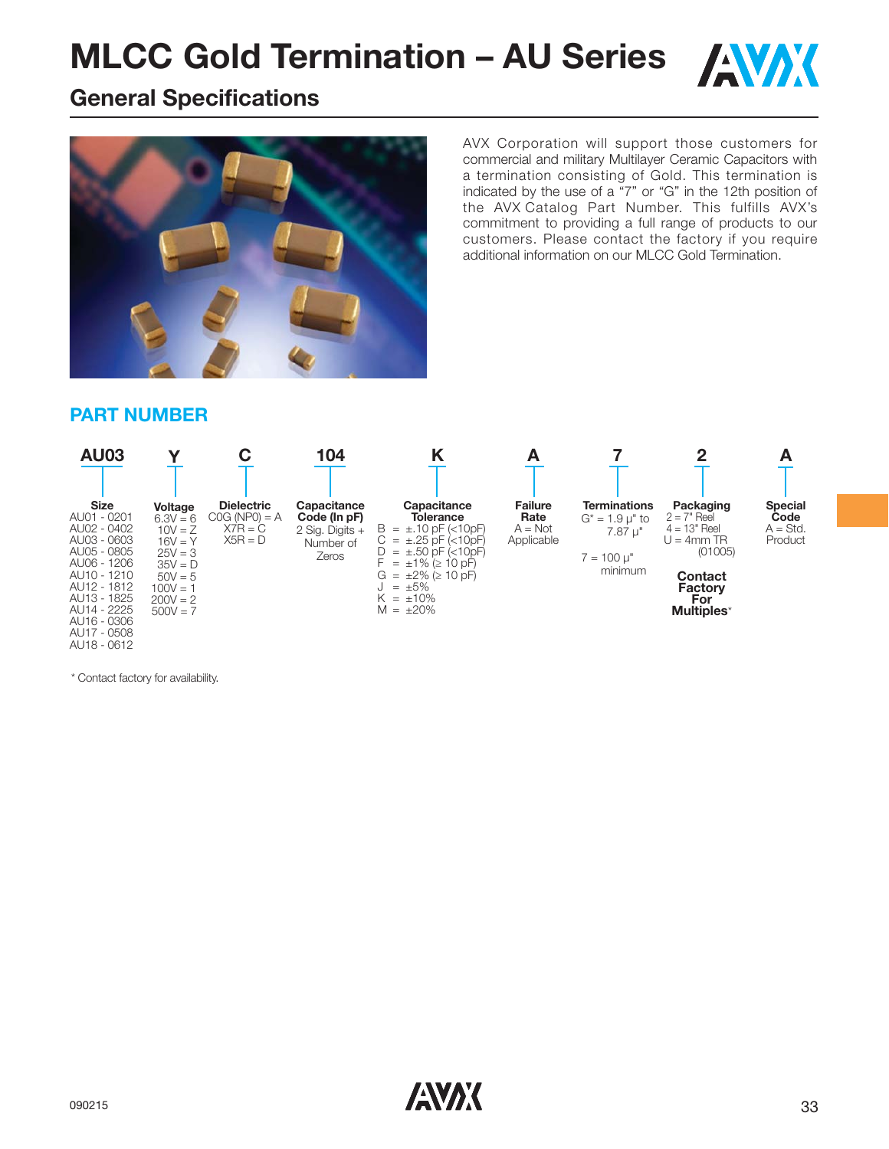

## **General Specifications**



AVX Corporation will support those customers for commercial and military Multilayer Ceramic Capacitors with a termination consisting of Gold. This termination is indicated by the use of a "7" or "G" in the 12th position of the AVX Catalog Part Number. This fulfills AVX's commitment to providing a full range of products to our customers. Please contact the factory if you require additional information on our MLCC Gold Termination.

#### **PART NUMBER**



\* Contact factory for availability.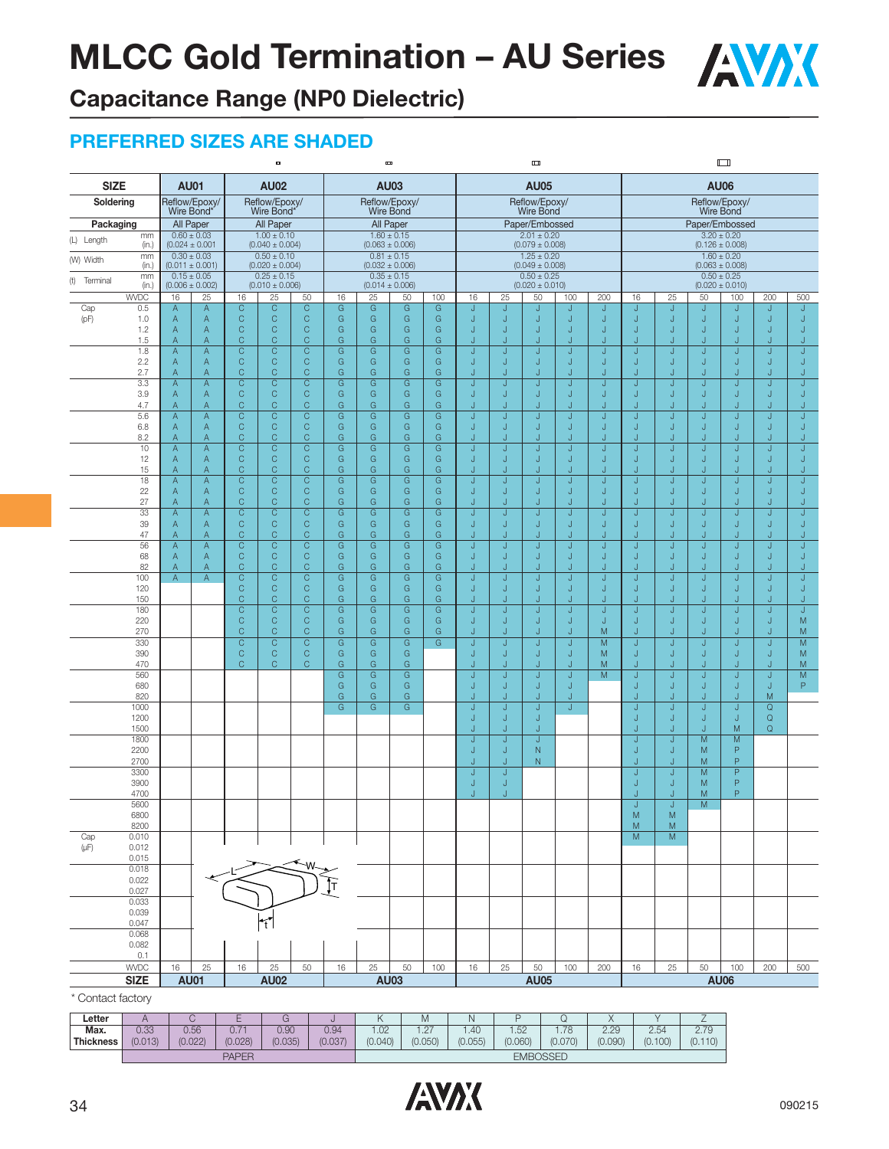

**Capacitance Range (NP0 Dielectric)**

### **PREFERRED SIZES ARE SHADED**

|                           |                |                     |                                        |                                | ٠                                      |                                |                     |                     | Ē                                      |                     |                  |          | ▥                                      |                                    |                |          |              |        | ய                                      |                              |                              |
|---------------------------|----------------|---------------------|----------------------------------------|--------------------------------|----------------------------------------|--------------------------------|---------------------|---------------------|----------------------------------------|---------------------|------------------|----------|----------------------------------------|------------------------------------|----------------|----------|--------------|--------|----------------------------------------|------------------------------|------------------------------|
| <b>SIZE</b>               |                |                     | <b>AU01</b>                            |                                | <b>AU02</b>                            |                                |                     |                     | <b>AU03</b>                            |                     |                  |          | <b>AU05</b>                            |                                    |                |          |              |        | <b>AU06</b>                            |                              |                              |
| Soldering                 |                |                     | Reflow/Epoxy/<br>"Wire Bond            |                                | Reflow/Epoxy/<br>Wire Bond*            |                                |                     |                     | Reflow/Epoxy/<br>Wire Bond             |                     |                  |          | Reflow/Epoxy/<br>Wire Bond             |                                    |                |          |              |        | Reflow/Epoxy/<br>Wire Bond             |                              |                              |
| Packaging                 |                |                     | All Paper                              |                                | All Paper                              |                                |                     |                     | All Paper                              |                     |                  |          | Paper/Embossed                         |                                    |                |          |              |        | Paper/Embossed                         |                              |                              |
| (L) Length                | mm<br>(in.)    |                     | $0.60 \pm 0.03$<br>$(0.024 \pm 0.001$  |                                | $1.00 \pm 0.10$<br>$(0.040 \pm 0.004)$ |                                |                     |                     | $1.60 \pm 0.15$<br>$(0.063 \pm 0.006)$ |                     |                  |          | $2.01 \pm 0.20$<br>$(0.079 \pm 0.008)$ |                                    |                |          |              |        | $3.20 \pm 0.20$<br>$(0.126 \pm 0.008)$ |                              |                              |
| (W) Width                 | mm<br>(in.)    |                     | $0.30 \pm 0.03$<br>$(0.011 \pm 0.001)$ |                                | $0.50 \pm 0.10$<br>$(0.020 \pm 0.004)$ |                                |                     |                     | $0.81 \pm 0.15$<br>$(0.032 \pm 0.006)$ |                     |                  |          | $1.25 \pm 0.20$<br>$(0.049 \pm 0.008)$ |                                    |                |          |              |        | $1.60 \pm 0.20$<br>$(0.063 \pm 0.008)$ |                              |                              |
| (t)<br>Terminal           | mm<br>(in.)    |                     | $0.15 \pm 0.05$<br>$(0.006 \pm 0.002)$ |                                | $0.25 \pm 0.15$<br>$(0.010 \pm 0.006)$ |                                |                     |                     | $0.35 \pm 0.15$<br>$(0.014 \pm 0.006)$ |                     |                  |          | $0.50 \pm 0.25$<br>$(0.020 \pm 0.010)$ |                                    |                |          |              |        | $0.50 \pm 0.25$<br>$(0.020 \pm 0.010)$ |                              |                              |
|                           | <b>WVDC</b>    | 16                  | 25                                     | 16                             | 25                                     | 50                             | 16                  | 25                  | 50                                     | 100                 | 16               | 25       | 50                                     | 100                                | 200            | 16       | 25           | 50     | 100                                    | 200                          | 500                          |
| Cap                       | 0.5            | A                   | $\overline{A}$                         | $\overline{C}$<br>$\mathsf{C}$ | $\overline{C}$<br>$\mathsf{C}$         | $\overline{C}$<br>$\mathsf C$  | $\overline{G}$<br>G | G<br>G              | $\overline{G}$<br>G                    | G<br>G              | IJ               | IJ       | J                                      | J                                  | J              | J        | J            | J      | J                                      | J                            | J                            |
| $\left( \text{pF}\right)$ | 1.0<br>1.2     | $\mathsf A$<br>A    | $\overline{A}$<br>$\overline{A}$       | $\mathsf{C}$                   | $\mathsf{C}$                           | $\mathsf{C}$                   | G                   | G                   | G                                      | G                   | J<br>J           | IJ       | J<br>۰                                 | J<br>J                             | J<br>J         | IJ<br>IJ | J<br>J       | J<br>J | $\sf J$<br>J                           | J<br>J                       | J<br>J                       |
|                           | 1.5            | A                   | $\mathsf{A}$                           | $\mathsf{C}$                   | Ċ                                      | $\mathsf C$                    | G                   | G                   | G                                      | G                   | J                | IJ       | J                                      | J                                  | J              | N        | IJ           |        |                                        | J                            | J                            |
|                           | 1.8<br>2.2     | A<br>A              | $\overline{A}$<br>$\mathsf{A}$         | $\overline{C}$<br>$\mathsf{C}$ | $\overline{\text{c}}$<br>$\mathsf C$   | C<br>C                         | G<br>G              | G<br>G              | G<br>G                                 | $\overline{G}$<br>G | J<br>$\mathsf J$ | J        | J<br>J                                 | J<br>$\sf J$                       | J<br>J         | J<br>J   | J<br>$\sf J$ | J<br>J | J<br>J                                 | J<br>J                       | J<br>J                       |
|                           | 2.7            | A                   | $\overline{A}$                         | C                              | Ċ                                      | C                              | G                   | G                   | G                                      | G                   | J                | J        | J                                      | J                                  | J              | J        | J            | J.     | J                                      | J                            | J                            |
|                           | 3.3            | A                   | $\overline{A}$                         | $\overline{C}$                 | $\overline{\mathrm{C}}$                | $\overline{C}$                 | G                   | G                   | G                                      | G                   | J                | IJ       | Ū                                      | J                                  | J              | J        | J            | J      | J                                      | J                            | J                            |
|                           | 3.9<br>4.7     | A<br>A              | $\overline{A}$<br>$\overline{A}$       | $\mathsf{C}$<br>C              | $\mathsf C$<br>Ċ                       | $\mathsf{C}$<br>C              | G<br>G              | G<br>G              | G<br>G                                 | G<br>G              | $\sf J$<br>J     | IJ<br>J  | J<br>J                                 | $\sf J$<br>J                       | J<br>J         | J<br>J   | J<br>J       | J<br>J | J<br>J                                 | J<br>J                       | J<br>J                       |
|                           | 5.6            | A                   | $\mathsf{A}$                           | C                              | C                                      | C                              | G                   | G                   | G                                      | G                   | J                | J        | J                                      | J                                  | J              | J        | J            | J      | J                                      | J                            | J                            |
|                           | 6.8<br>8.2     | A<br>A              | $\mathsf{A}$<br>$\mathsf{A}$           | $\mathsf{C}$<br>$\mathsf{C}$   | $\mathsf{C}$<br>$\mathsf C$            | $\mathsf{C}$<br>C              | G<br>G              | G<br>G              | G<br>G                                 | G<br>G              | J<br>J           | IJ<br>IJ | J<br>J                                 | $\sf J$<br>$\sf J$                 | J<br>J         | J<br>J   | J<br>J       | J<br>J | J<br>J                                 | J<br>J                       | J<br>J                       |
|                           | 10             | A                   | $\overline{A}$                         | $\mathsf{C}$                   | $\overline{C}$                         | $\mathsf{C}$                   | G                   | G                   | G                                      | G                   | J                | J        | J                                      | $\sf J$                            | J              | J        | J            | J      | J                                      | J                            | J                            |
|                           | 12             | A                   | $\mathsf{A}$                           | $\mathsf{C}$                   | $\mathsf C$                            | C                              | G                   | G                   | G                                      | G                   | J                | J        | J                                      | J                                  | J              | J        | J            | J      | J                                      | J                            | J                            |
|                           | 15<br>18       | Α<br>A              | $\overline{A}$<br>$\mathsf{A}$         | C<br>$\overline{C}$            | C<br>$\overline{\text{c}}$             | C<br>$\overline{C}$            | G<br>$\overline{G}$ | G<br>$\overline{G}$ | G<br>$\overline{G}$                    | G<br>$\overline{G}$ | J<br>J           | J        | J<br>J                                 | J<br>J                             | J              | N<br>J   | J<br>J       | J      | J                                      | J<br>J                       | J<br>J                       |
|                           | 22             | Α                   | $\mathsf{A}$                           | $\mathsf{C}$                   | $\mathsf{C}$                           | $\mathsf{C}$                   | G                   | G                   | G                                      | G                   | J                | J        | J                                      | J                                  | J              | J        | J            | J      | J                                      | J                            | J                            |
|                           | 27<br>33       | A<br>$\overline{A}$ | $\mathsf{A}$<br>$\overline{A}$         | $\mathsf{C}$<br>$\overline{C}$ | Ċ<br>$\overline{C}$                    | C<br>$\overline{C}$            | G<br>G              | G<br>$\overline{G}$ | G<br>$\overline{G}$                    | G<br>$\overline{G}$ | J<br>J           | IJ<br>J  | J<br>J                                 | J<br>J                             | J.<br>J        | N<br>IJ  | J<br>J       | J<br>J | J                                      | J<br>J                       | J<br>J                       |
|                           | 39             | Α                   | $\mathsf{A}$                           | $\mathsf{C}$                   | $\mathsf{C}$                           | $\mathsf{C}$                   | ${\mathsf G}$       | ${\mathsf G}$       | G                                      | ${\mathsf G}$       | J                | IJ       | J                                      | J                                  | J              | IJ       | J            | J      | J                                      | J                            | J                            |
|                           | 47<br>56       | A<br>$\overline{A}$ | Α<br>$\overline{A}$                    | $\mathsf{C}$<br>$\overline{C}$ | Ċ<br>$\overline{C}$                    | $\mathsf{C}$<br>$\overline{C}$ | G<br>$\overline{G}$ | G<br>$\overline{G}$ | G<br>$\overline{G}$                    | G<br>$\overline{G}$ | J<br>J           | IJ<br>J  | J.<br>J                                | J<br>J                             | J.             | IJ       | J<br>J       | J      | u                                      | J<br>J                       | J<br>J                       |
|                           | 68             | A                   | $\mathsf{A}$                           | $\mathsf C$                    | $\mathsf{C}$                           | $\mathsf{C}$                   | G                   | G                   | G                                      | G                   | J                | IJ       | J                                      | J                                  | J<br>J         | J<br>J   | J            | J<br>J | J<br>J                                 | J                            | J                            |
|                           | 82             | Α                   | A                                      | $\mathsf C$                    | $\mathsf{C}$                           | $\mathsf C$                    | G                   | G                   | G                                      | G                   | J                | IJ       | J                                      | J                                  | J              | IJ       | IJ           | J      | J                                      | J                            | J                            |
|                           | 100<br>120     | $\overline{A}$      | $\overline{A}$                         | $\overline{C}$<br>$\mathsf C$  | $\overline{C}$<br>$\mathsf{C}$         | $\overline{C}$<br>$\mathsf{C}$ | $\overline{G}$<br>G | $\overline{G}$<br>G | $\overline{G}$<br>G                    | G<br>G              | J<br>J           | IJ<br>J  | J<br>J                                 | $\overline{\mathsf{J}}$<br>$\sf J$ | J<br>J         | J<br>J   | J<br>$\sf J$ | J<br>J | J<br>J                                 | $\overline{\mathsf{J}}$<br>J | $\overline{\mathsf{J}}$<br>J |
|                           | 150            |                     |                                        | $\mathsf C$                    | Ċ                                      | $\mathsf C$                    | G                   | G                   | G                                      | G                   | J.               |          | J                                      | J                                  | J.             | N        | J            |        | J.                                     | J                            | J                            |
|                           | 180<br>220     |                     |                                        | $\mathsf C$<br>$\mathsf{C}$    | $\mathsf{C}$<br>$\mathsf C$            | $\mathsf C$<br>$\mathsf{C}$    | G<br>G              | G<br>G              | G<br>G                                 | G<br>G              | IJ<br>J          | IJ<br>IJ | J<br>J                                 | J<br>$\sf J$                       | J<br>J         | IJ<br>J  | J<br>J       | J<br>J | J<br>J                                 | J<br>J                       | J<br>M                       |
|                           | 270            |                     |                                        | C                              | $\mathsf{C}$                           | C                              | G                   | G                   | G                                      | G                   | J                | IJ       | J                                      | J                                  | M              | J        | IJ           | J      | J                                      | J                            | M                            |
|                           | 330            |                     |                                        | C                              | C                                      | C                              | G                   | $\overline{G}$      | G                                      | G                   | $\sf J$          |          | J                                      | J                                  | $\overline{M}$ | J        | J            | J      | $\sf J$                                | Ū                            | M                            |
|                           | 390<br>470     |                     |                                        | $\mathsf C$<br>$\mathsf{C}$    | $\mathsf{C}$<br>$\mathsf C$            | C<br>$\mathsf{C}$              | G<br>G              | G<br>G              | G<br>G                                 |                     | J<br>J           | IJ<br>IJ | J<br>J                                 | $\sf J$<br>$\sf J$                 | M<br>M         | J<br>J   | J<br>J       | J<br>J | J<br>J                                 | J<br>J                       | M<br>M                       |
|                           | 560            |                     |                                        |                                |                                        |                                | G                   | G                   | G                                      |                     | J                | J        | Ū                                      | $\sf J$                            | M              | Ū        | J            | J      | J                                      | J                            | ${\sf M}$                    |
|                           | 680<br>820     |                     |                                        |                                |                                        |                                | G<br>G              | G<br>G              | G<br>G                                 |                     | J<br>J           | J<br>J   | J<br>J                                 | $\sf J$<br>J                       |                | J<br>J   | J<br>J       | J<br>J | J<br>J                                 | J<br>M                       | P                            |
|                           | 1000           |                     |                                        |                                |                                        |                                | $\overline{G}$      | G                   | G                                      |                     | J                | J        | J                                      | J                                  |                | J        | J            | J      | J                                      | $\overline{Q}$               |                              |
|                           | 1200           |                     |                                        |                                |                                        |                                |                     |                     |                                        |                     | J                | J<br>IJ  | J<br>J.                                |                                    |                | J<br>J   | J            | J      | J                                      | $\mathsf Q$                  |                              |
|                           | 1500<br>1800   |                     |                                        |                                |                                        |                                |                     |                     |                                        |                     | J<br>J           | J        | J                                      |                                    |                | J        | J<br>J       | J<br>M | M<br>${\sf M}$                         | $\mathsf Q$                  |                              |
|                           | 2200           |                     |                                        |                                |                                        |                                |                     |                     |                                        |                     | J                | J        | N                                      |                                    |                | IJ       | J            | M      | P<br>P                                 |                              |                              |
|                           | 2700<br>3300   |                     |                                        |                                |                                        |                                |                     |                     |                                        |                     | J<br>J           | J<br>J   | N                                      |                                    |                | IJ<br>J  | J<br>J       | M<br>M | P                                      |                              |                              |
|                           | 3900           |                     |                                        |                                |                                        |                                |                     |                     |                                        |                     | J                | J        |                                        |                                    |                | IJ       | J            | M      | P                                      |                              |                              |
|                           | 4700<br>5600   |                     |                                        |                                |                                        |                                |                     |                     |                                        |                     | J                | J        |                                        |                                    |                | J<br>J   | J<br>J       | M<br>M | P                                      |                              |                              |
|                           | 6800           |                     |                                        |                                |                                        |                                |                     |                     |                                        |                     |                  |          |                                        |                                    |                | M        | M            |        |                                        |                              |                              |
| Cap                       | 8200<br>0.010  |                     |                                        |                                |                                        |                                |                     |                     |                                        |                     |                  |          |                                        |                                    |                | M<br>M   | M<br>M       |        |                                        |                              |                              |
| $(\mu F)$                 | 0.012          |                     |                                        |                                |                                        |                                |                     |                     |                                        |                     |                  |          |                                        |                                    |                |          |              |        |                                        |                              |                              |
|                           | 0.015          |                     |                                        |                                |                                        |                                |                     |                     |                                        |                     |                  |          |                                        |                                    |                |          |              |        |                                        |                              |                              |
|                           | 0.018<br>0.022 |                     |                                        |                                |                                        |                                |                     |                     |                                        |                     |                  |          |                                        |                                    |                |          |              |        |                                        |                              |                              |
|                           | 0.027          |                     |                                        |                                |                                        |                                |                     |                     |                                        |                     |                  |          |                                        |                                    |                |          |              |        |                                        |                              |                              |
|                           | 0.033<br>0.039 |                     |                                        |                                |                                        |                                |                     |                     |                                        |                     |                  |          |                                        |                                    |                |          |              |        |                                        |                              |                              |
|                           | 0.047          |                     |                                        |                                |                                        |                                |                     |                     |                                        |                     |                  |          |                                        |                                    |                |          |              |        |                                        |                              |                              |
|                           | 0.068<br>0.082 |                     |                                        |                                |                                        |                                |                     |                     |                                        |                     |                  |          |                                        |                                    |                |          |              |        |                                        |                              |                              |
|                           | 0.1            |                     |                                        |                                |                                        |                                |                     |                     |                                        |                     |                  |          |                                        |                                    |                |          |              |        |                                        |                              |                              |
|                           | <b>WVDC</b>    | 16                  | 25                                     | 16                             | $25\,$                                 | 50                             | 16                  | 25                  | 50                                     | 100                 | 16               | 25       | 50                                     | 100                                | 200            | 16       | 25           | 50     | 100                                    | 200                          | 500                          |
|                           | <b>SIZE</b>    |                     | <b>AU01</b>                            |                                | <b>AU02</b>                            |                                |                     |                     | <b>AU03</b>                            |                     |                  |          | <b>AU05</b>                            |                                    |                |          |              |        | <b>AU06</b>                            |                              |                              |
| * Contact factory         |                |                     |                                        |                                |                                        |                                |                     |                     |                                        |                     |                  |          |                                        |                                    |                |          |              |        |                                        |                              |                              |

| Letter    |         |       | ᅳ            |         |         | $\sqrt{ }$ | ΙVΙ              |                  |                 |         | $\sqrt{2}$ |         |         |
|-----------|---------|-------|--------------|---------|---------|------------|------------------|------------------|-----------------|---------|------------|---------|---------|
| Max.      | 0.33    | 0.56  | 0.74<br>U. I | 0.90    | 0.94    | .02        | $\sqrt{7}$<br>ے. | .40 <sub>2</sub> | 1.52            | 70      | 2.29       | 2.54    | 70      |
| Thickness | (0.013) | 0.022 | (0.028)      | (0.035) | (0.037) | (0.040)    | (0.050)          | (0.055)          | (0.060)         | (0.070) | (0.090)    | (0.100) | (0.110) |
|           |         |       | <b>PAPER</b> |         |         |            |                  |                  | <b>EMBOSSED</b> |         |            |         |         |

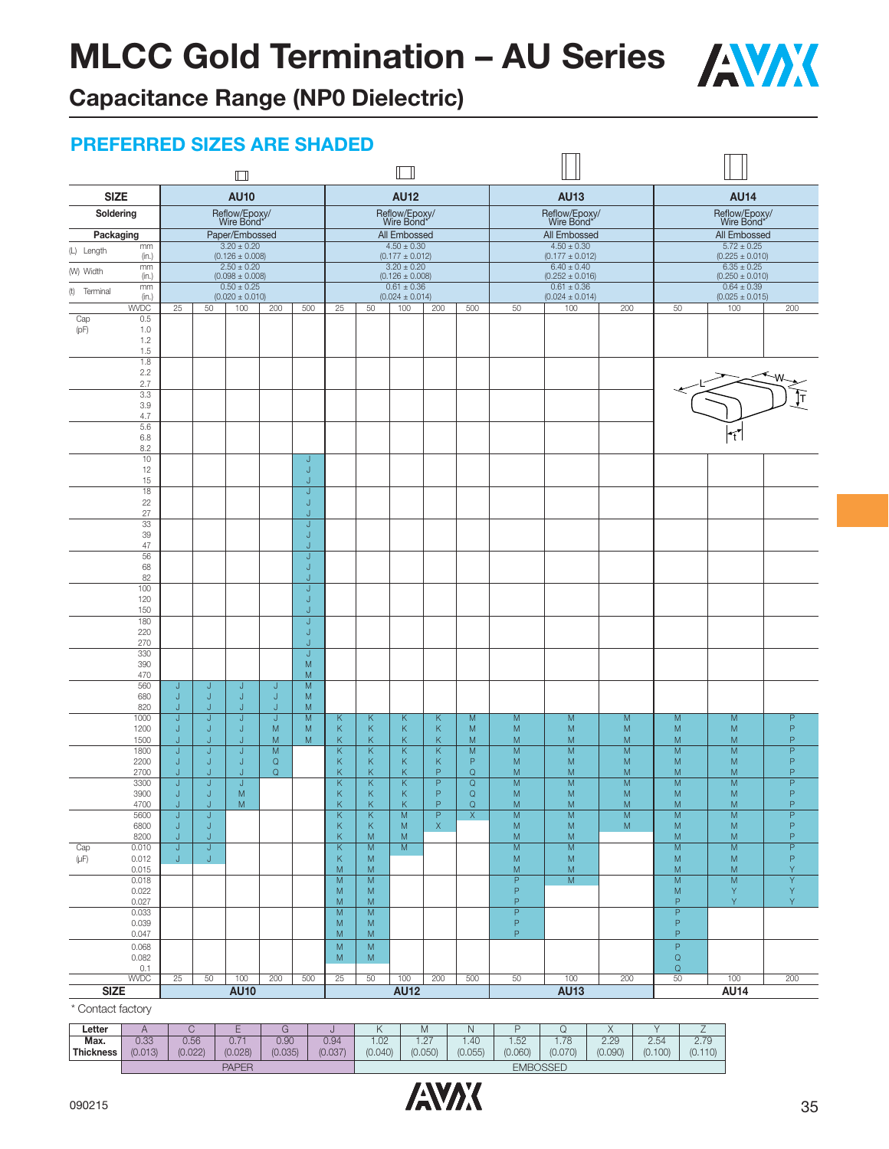

**Capacitance Range (NP0 Dielectric)**

### **PREFERRED SIZES ARE SHADED**

|                                                     |                       | $\Box$      |                                        |                       |                          |                                           |                             | $\Box$                                 |                          |                                 |                                    |                                        |                           |                                 |                                        |                          |
|-----------------------------------------------------|-----------------------|-------------|----------------------------------------|-----------------------|--------------------------|-------------------------------------------|-----------------------------|----------------------------------------|--------------------------|---------------------------------|------------------------------------|----------------------------------------|---------------------------|---------------------------------|----------------------------------------|--------------------------|
| <b>SIZE</b>                                         |                       |             | <b>AU10</b>                            |                       |                          |                                           |                             | <b>AU12</b>                            |                          |                                 |                                    | <b>AU13</b>                            |                           |                                 | <b>AU14</b>                            |                          |
| Soldering                                           |                       |             | Reflow/Epoxy/<br>Wire Bond*            |                       |                          |                                           |                             | Reflow/Epoxy/<br>Wire Bond*            |                          |                                 |                                    | Reflow/Epoxy/<br>Wire Bond*            |                           |                                 | Reflow/Epoxy/<br>Wire Bond*            |                          |
| Packaging                                           |                       |             | Paper/Embossed                         |                       |                          |                                           |                             | All Embossed                           |                          |                                 |                                    | All Embossed                           |                           |                                 | All Embossed                           |                          |
| mm<br>(L) Length<br>(in.)                           |                       |             | $3.20 \pm 0.20$<br>$(0.126 \pm 0.008)$ |                       |                          |                                           |                             | $4.50 \pm 0.30$<br>$(0.177 \pm 0.012)$ |                          |                                 |                                    | $4.50 \pm 0.30$<br>$(0.177 \pm 0.012)$ |                           |                                 | $5.72 \pm 0.25$<br>$(0.225 \pm 0.010)$ |                          |
| mm<br>(W) Width<br>(in.)                            |                       |             | $2.50 \pm 0.20$<br>$(0.098 \pm 0.008)$ |                       |                          |                                           |                             | $3.20 \pm 0.20$<br>$(0.126 \pm 0.008)$ |                          |                                 |                                    | $6.40 \pm 0.40$<br>$(0.252 \pm 0.016)$ |                           |                                 | $6.35 \pm 0.25$<br>$(0.250 \pm 0.010)$ |                          |
| mm<br>(t) Terminal<br>(in.)                         |                       |             | $0.50 \pm 0.25$<br>$(0.020 \pm 0.010)$ |                       |                          |                                           |                             | $0.61 \pm 0.36$<br>$(0.024 \pm 0.014)$ |                          |                                 |                                    | $0.61 \pm 0.36$<br>$(0.024 \pm 0.014)$ |                           |                                 | $0.64 \pm 0.39$<br>$(0.025 \pm 0.015)$ |                          |
| <b>WVDC</b>                                         | 25                    | 50          | 100                                    | 200                   | 500                      | 25                                        | 50                          | 100                                    | 200                      | 500                             | 50                                 | 100                                    | 200                       | 50                              | 100                                    | 200                      |
| 0.5<br>Cap<br>(pF)<br>1.0<br>1.2<br>1.5<br>1.8      |                       |             |                                        |                       |                          |                                           |                             |                                        |                          |                                 |                                    |                                        |                           |                                 |                                        |                          |
| 2.2<br>2.7<br>3.3<br>3.9                            |                       |             |                                        |                       |                          |                                           |                             |                                        |                          |                                 |                                    |                                        |                           |                                 |                                        | [Τ                       |
| 4.7<br>5.6<br>6.8<br>8.2                            |                       |             |                                        |                       |                          |                                           |                             |                                        |                          |                                 |                                    |                                        |                           |                                 | ٦t.                                    |                          |
| 10<br>12<br>15                                      |                       |             |                                        |                       | J<br>J<br>J              |                                           |                             |                                        |                          |                                 |                                    |                                        |                           |                                 |                                        |                          |
| 18<br>22<br>27                                      |                       |             |                                        |                       | J<br>J<br>J              |                                           |                             |                                        |                          |                                 |                                    |                                        |                           |                                 |                                        |                          |
| 33<br>39<br>47                                      |                       |             |                                        |                       | J<br>J<br>J              |                                           |                             |                                        |                          |                                 |                                    |                                        |                           |                                 |                                        |                          |
| 56<br>68<br>82                                      |                       |             |                                        |                       | J<br>J<br>J              |                                           |                             |                                        |                          |                                 |                                    |                                        |                           |                                 |                                        |                          |
| 100<br>120<br>150                                   |                       |             |                                        |                       | J<br>J<br>J              |                                           |                             |                                        |                          |                                 |                                    |                                        |                           |                                 |                                        |                          |
| 180<br>220<br>270                                   |                       |             |                                        |                       | J<br>J<br>J              |                                           |                             |                                        |                          |                                 |                                    |                                        |                           |                                 |                                        |                          |
| 330<br>390<br>470                                   |                       |             |                                        |                       | J<br>M<br>M              |                                           |                             |                                        |                          |                                 |                                    |                                        |                           |                                 |                                        |                          |
| 560<br>680<br>820                                   | J<br>J<br>J           | J<br>J<br>J | J<br>J<br>J                            | J<br>J<br>J           | M<br>M<br>M              |                                           |                             |                                        |                          |                                 |                                    |                                        |                           |                                 |                                        |                          |
| 1000<br>1200<br>1500                                | J<br>J<br>J           | J<br>J<br>J | J<br>J<br>J                            | J<br>M<br>M           | $\overline{M}$<br>M<br>M | Κ<br>Κ<br>Κ                               | К<br>К<br>К                 | Κ<br>Κ<br>Κ                            | Κ<br>К<br>Κ              | M<br>M<br>M                     | M<br>M<br>M                        | M<br>M<br>M                            | M<br>M<br>M               | M<br>M<br>M                     | M<br>M<br>M                            | P<br>$\mathsf P$<br>P    |
| 1800<br>2200<br>2700                                | J<br>J<br>J           | J<br>J<br>J | J<br>J<br>J                            | M<br>Q<br>$\mathsf Q$ |                          | Κ<br>Κ<br>Κ                               | К<br>К<br>Κ                 | Κ<br>Κ<br>Κ                            | К<br>К<br>$\mathbf{P}$   | M<br>P<br>$\mathsf Q$           | M<br>M<br>M                        | M<br>M<br>M                            | M<br>M<br>M               | M<br>M<br>M                     | M<br>M<br>M                            | P<br>P<br>P              |
| 3300<br>3900<br>4700                                | J<br>J<br>J           | J<br>J<br>J | J<br>M<br>M                            |                       |                          | $\overline{\mathsf{K}}$<br>Κ<br>K         | Κ<br>$\mathsf K$<br>K       | Κ<br>Κ<br>Κ                            | $\overline{P}$<br>P<br>P | $\mathsf Q$<br>Q<br>$\mathsf Q$ | M<br>M<br>M                        | M<br>M<br>M                            | M<br>M<br>M               | $\overline{M}$<br>M<br>M        | M<br>M<br>M                            | $\overline{P}$<br>P<br>P |
| 5600<br>6800<br>8200                                | J<br>$\mathsf J$<br>J | J<br>J<br>J |                                        |                       |                          | K<br>K<br>K.                              | К<br>Κ<br>${\sf M}$         | M<br>M<br>M                            | P<br>$\bar{\mathsf{X}}$  | $\mathsf{X}$                    | M<br>${\sf M}$<br>M                | M<br>${\sf M}$<br>${\sf M}$            | $\mathsf{M}$<br>${\sf M}$ | M<br>${\sf M}$<br>M             | M<br>${\sf M}$<br>${\sf M}$            | P<br>$\mathsf P$<br>P    |
| Cap<br>0.010<br>$(\upmu\text{F})$<br>0.012<br>0.015 | J<br>J.               | J<br>J.     |                                        |                       |                          | $\overline{\mathsf{K}}$<br>K<br>${\sf M}$ | M<br>${\sf M}$<br>${\sf M}$ | M                                      |                          |                                 | $\overline{M}$<br>M<br>${\sf M}$   | M<br>${\sf M}$<br>${\sf M}$            |                           | M<br>${\sf M}$<br>M             | M<br>${\sf M}$<br>${\sf M}$            | P<br>P<br>Y              |
| 0.018<br>0.022<br>0.027                             |                       |             |                                        |                       |                          | M<br>M<br>M                               | ${\sf M}$<br>${\sf M}$<br>M |                                        |                          |                                 | $\mathsf P$<br>$\mathsf P$<br>P    | ${\sf M}$                              |                           | ${\sf M}$<br>M<br>P             | M<br>Y<br>Y                            | Y<br>Y<br>Y.             |
| 0.033<br>0.039<br>0.047                             |                       |             |                                        |                       |                          | $\overline{M}$<br>M<br>M                  | M<br>M<br>${\sf M}$         |                                        |                          |                                 | $\overline{P}$<br>$\mathsf P$<br>P |                                        |                           | $\overline{P}$<br>P<br>P        |                                        |                          |
| 0.068<br>0.082<br>0.1                               |                       |             |                                        |                       |                          | ${\sf M}$<br>M                            | ${\sf M}$<br>M              |                                        |                          |                                 |                                    |                                        |                           | $\mathsf P$<br>$\mathsf Q$<br>Q |                                        |                          |
| <b>WVDC</b><br><b>SIZE</b>                          | $\overline{25}$       | 50          | 100<br><b>AU10</b>                     | 200                   | 500                      | $\overline{25}$                           | 50                          | 100<br><b>AU12</b>                     | 200                      | 500                             | 50                                 | 100<br><b>AU13</b>                     | 200                       | 50                              | 100<br><b>AU14</b>                     | 200                      |
| * Contact factory                                   |                       |             |                                        |                       |                          |                                           |                             |                                        |                          |                                 |                                    |                                        |                           |                                 |                                        |                          |

Contact factory

| ∟etter           |         |         |               |         |         |         | ΙVΙ               |         |                 |         | $\lambda$ |         | $\sim$  |
|------------------|---------|---------|---------------|---------|---------|---------|-------------------|---------|-----------------|---------|-----------|---------|---------|
| Max.             | 0.33    | 0.56    | $0.7^{\circ}$ | 0.90    | 0.94    | .02     | $\sqrt{2}$<br>$-$ | l.40    | .52             | .78     | 2.29      | 2.54    | 2.79    |
| <b>Thickness</b> | (0.013) | (0.022) | (0.028)       | (0.035) | (0.037) | (0.040) | (0.050)           | (0.055) | (0.060)         | (0.070) | (0.090)   | (0.100) | (0.110) |
|                  |         |         | <b>PAPER</b>  |         |         |         |                   |         | <b>EMBOSSED</b> |         |           |         |         |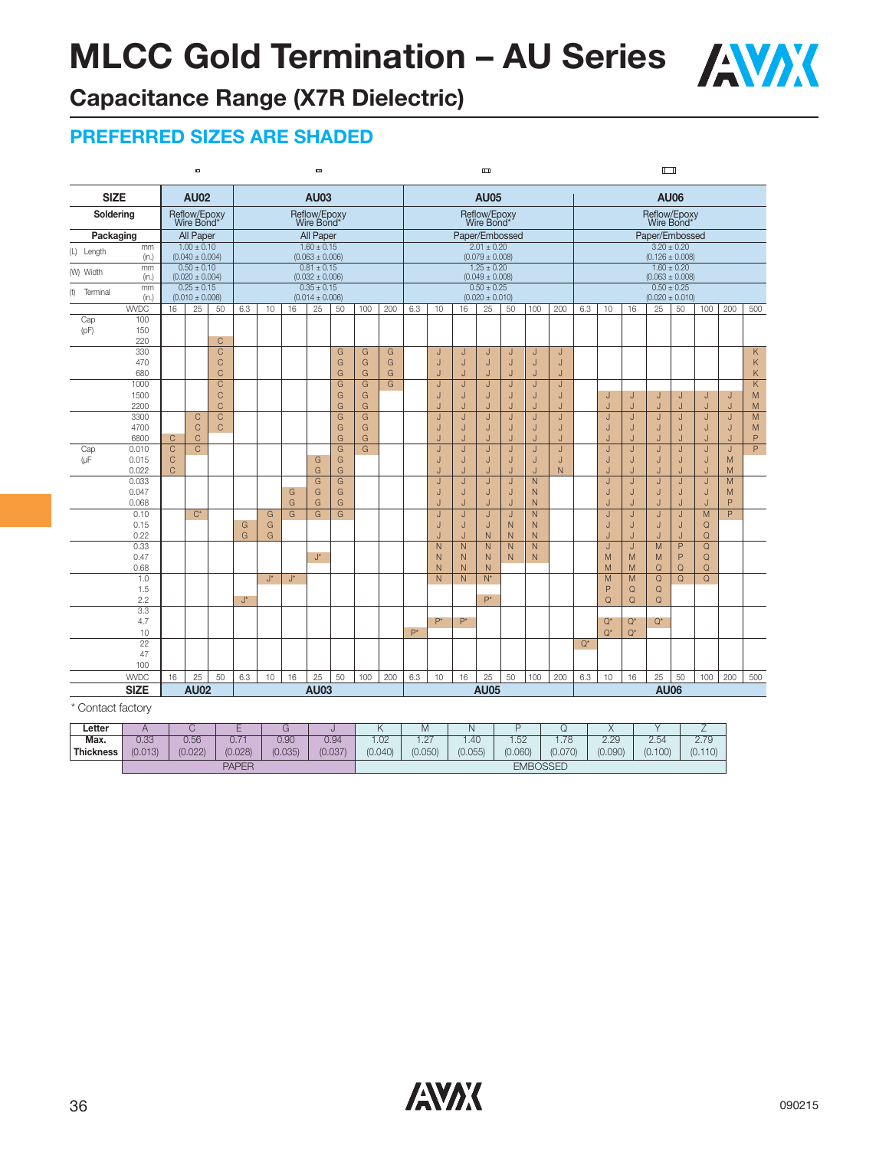

# **Capacitance Range (X7R Dielectric)**

### **PREFERRED SIZES ARE SHADED**

|                   |                   |                         | $\blacksquare$                         |                |                    |       |        | $\blacksquare$                         |                         |     |     |                |                |                | $\Box$                                 |                         |                   |        |       |        |                | $\Box$                     |                 |                         |                |                |
|-------------------|-------------------|-------------------------|----------------------------------------|----------------|--------------------|-------|--------|----------------------------------------|-------------------------|-----|-----|----------------|----------------|----------------|----------------------------------------|-------------------------|-------------------|--------|-------|--------|----------------|----------------------------|-----------------|-------------------------|----------------|----------------|
| <b>SIZE</b>       |                   |                         | <b>AU02</b>                            |                |                    |       |        | <b>AU03</b>                            |                         |     |     |                |                |                | <b>AU05</b>                            |                         |                   |        |       |        |                |                            | <b>AU06</b>     |                         |                |                |
| Soldering         |                   |                         | Reflow/Epoxy<br>Wire Bond*             |                |                    |       |        | Reflow/Epoxy<br>Wire Bond*             |                         |     |     |                |                |                | Reflow/Epoxy<br>Wire Bond*             |                         |                   |        |       |        |                | Reflow/Epoxy<br>Wire Bond* |                 |                         |                |                |
| Packaging         |                   |                         | All Paper                              |                |                    |       |        | All Paper                              |                         |     |     |                |                |                | Paper/Embossed                         |                         |                   |        |       |        |                | Paper/Embossed             |                 |                         |                |                |
| (L) Length        | mm                |                         | $1.00 \pm 0.10$                        |                |                    |       |        | $1.60 \pm 0.15$                        |                         |     |     |                |                |                | $2.01 \pm 0.20$                        |                         |                   |        |       |        |                |                            | $3.20 \pm 0.20$ |                         |                |                |
|                   | (in.)             |                         | $(0.040 \pm 0.004)$                    |                |                    |       |        | $(0.063 \pm 0.006)$                    |                         |     |     |                |                |                | $(0.079 \pm 0.008)$                    |                         |                   |        |       |        |                | $(0.126 \pm 0.008)$        |                 |                         |                |                |
| (W) Width         | mm<br>(in.)       |                         | $0.50 \pm 0.10$<br>$(0.020 \pm 0.004)$ |                |                    |       |        | $0.81 \pm 0.15$<br>$(0.032 \pm 0.006)$ |                         |     |     |                |                |                | $1.25 \pm 0.20$<br>$(0.049 \pm 0.008)$ |                         |                   |        |       |        |                | $(0.063 \pm 0.008)$        | $1.60 \pm 0.20$ |                         |                |                |
| (t) Terminal      | mm<br>(in.)       |                         | $0.25 \pm 0.15$<br>$(0.010 \pm 0.006)$ |                |                    |       |        | $0.35 \pm 0.15$<br>$(0.014 \pm 0.006)$ |                         |     |     |                |                |                | $0.50 \pm 0.25$<br>$(0.020 \pm 0.010)$ |                         |                   |        |       |        |                | $(0.020 \pm 0.010)$        | $0.50 \pm 0.25$ |                         |                |                |
|                   | <b>WVDC</b>       | 16                      | 25                                     | 50             | 6.3                | 10    | 16     | 25                                     | 50                      | 100 | 200 | 6.3            | 10             | 16             | 25                                     | 50                      | 100               | 200    | 6.3   | 10     | 16             | 25                         | 50              | 100                     | 200            | 500            |
| Cap<br>(pF)       | 100<br>150<br>220 |                         |                                        | $\mathsf{C}$   |                    |       |        |                                        |                         |     |     |                |                |                |                                        |                         |                   |        |       |        |                |                            |                 |                         |                |                |
|                   | 330               |                         |                                        | $\overline{C}$ |                    |       |        |                                        | G                       | G   | G   |                | J              |                | J                                      |                         | J                 |        |       |        |                |                            |                 |                         |                | K.             |
|                   | 470               |                         |                                        | $\mathsf{C}$   |                    |       |        |                                        | G                       | G   | G   |                | $\sf J$        | J<br>J         | J                                      | J<br>$\sf J$            | J                 | J<br>J |       |        |                |                            |                 |                         |                | Κ              |
|                   | 680               |                         |                                        | $\mathsf{C}$   |                    |       |        |                                        | G                       | G   | G   |                | J              | J              | J                                      | J                       | J                 | J      |       |        |                |                            |                 |                         |                | K              |
|                   | 1000              |                         |                                        | $\overline{C}$ |                    |       |        |                                        | G                       | G   | G   |                | J              | J              | J.                                     | J                       | J                 | J      |       |        |                |                            |                 |                         |                | Κ              |
|                   | 1500              |                         |                                        | $\mathsf{C}$   |                    |       |        |                                        | G                       | G   |     |                | J              | J              | J                                      | J                       | J                 | J      |       | J      | J              | J                          | J               | J                       | J              | M              |
|                   | 2200              |                         |                                        | $\mathsf{C}$   |                    |       |        |                                        | G                       | G   |     |                | J.             | J              | J.                                     | J                       | Ū                 | J.     |       | J      | $\overline{1}$ | J                          | J               | J                       | J              | M              |
|                   | 3300              |                         | C                                      | $\overline{C}$ |                    |       |        |                                        | G                       | G   |     |                | J              | J              | J                                      | J                       | J                 | J      |       | J      | J              | J                          | J               | J                       | J              | $\overline{M}$ |
|                   | 4700              |                         | $\mathsf{C}$                           | $\mathsf{C}$   |                    |       |        |                                        | G                       | G   |     |                | J              | J              | J                                      | J                       | J                 | J      |       | J      | J              | J                          | J               | J                       | J              | ${\sf M}$      |
|                   | 6800              | $\mathsf{C}$            | $\mathsf C$                            |                |                    |       |        |                                        | G                       | G   |     |                | J              | J              | J                                      | $\overline{1}$          | IJ                | J      |       | J      | J              | J                          | J               | $\cdot$                 | J              | P              |
| Cap               | 0.010             | $\overline{\mathrm{c}}$ | $\overline{C}$                         |                |                    |       |        |                                        | $\overline{\mathsf{G}}$ | G   |     |                | J              | J              | J                                      | J                       | J                 | J      |       | J      | J              | J                          | J               | J                       | J              | $\overline{P}$ |
| $(\mu$ F          | 0.015             | $\mathsf C$             |                                        |                |                    |       |        | G                                      | G                       |     |     |                | J              | J              | J                                      | J                       | J                 | J      |       | J      | J              | J                          | J               | J                       | M              |                |
|                   | 0.022             | $\mathsf{C}$            |                                        |                |                    |       |        | G                                      | G                       |     |     |                | J.             | J              | J.                                     | J                       | J                 | N      |       |        | J              | J                          | J               | J                       | M              |                |
|                   | 0.033             |                         |                                        |                |                    |       |        | $\overline{G}$                         | $\overline{G}$          |     |     |                | J              | J              | J                                      | $\overline{\mathsf{J}}$ | $\overline{N}$    |        |       | J<br>J | J              | J                          | J               | $\overline{\mathsf{J}}$ | $\overline{M}$ |                |
|                   | 0.047<br>0.068    |                         |                                        |                |                    |       | G<br>G | G<br>G                                 | G<br>G                  |     |     |                | J<br>J         | J<br>J         | J                                      | J<br>J                  | $\mathsf{N}$<br>N |        |       | J      | J<br>J         | J<br>J                     | J<br>J          | J<br>J                  | M<br>P         |                |
|                   | 0.10              |                         | $C^*$                                  |                |                    | G     | G      | G                                      | G                       |     |     |                | J              | $\mathsf{J}$   | J<br>J                                 | J                       | $\mathsf{N}$      |        |       | J      | J              | J                          | J               | M                       | P              |                |
|                   | 0.15              |                         |                                        |                | G                  | G     |        |                                        |                         |     |     |                | J              | J              | J                                      | $\overline{N}$          | $\mathsf{N}$      |        |       | J      | J              | J                          | J               | $\mathsf Q$             |                |                |
|                   | 0.22              |                         |                                        |                | G                  | G     |        |                                        |                         |     |     |                | J              | J              | $\mathsf{N}$                           | N                       | $\mathsf{N}$      |        |       | J      | J              | J                          | J               | Q                       |                |                |
|                   | 0.33              |                         |                                        |                |                    |       |        |                                        |                         |     |     |                | $\overline{N}$ | $\overline{N}$ | $\overline{N}$                         | $\overline{N}$          | $\overline{N}$    |        |       | J      | J              | M                          | $\overline{P}$  | $\overline{\mathsf{Q}}$ |                |                |
|                   | 0.47              |                         |                                        |                |                    |       |        | $J^{\star}$                            |                         |     |     |                | N              | N.             | N                                      | $\mathsf{N}$            | $\mathsf{N}$      |        |       | M      | M              | M                          | P               | Q                       |                |                |
|                   | 0.68              |                         |                                        |                |                    |       |        |                                        |                         |     |     |                | N              | ${\sf N}$      | $\mathsf{N}$                           |                         |                   |        |       | M      | M              | $\mathsf Q$                | $\mathsf Q$     | Q                       |                |                |
|                   | 1.0               |                         |                                        |                |                    | $J^*$ | J*     |                                        |                         |     |     |                | N              | $\mathsf{N}$   | $N^*$                                  |                         |                   |        |       | M      | M              | $\Omega$                   | $\mathsf Q$     | Q                       |                |                |
|                   | 1.5               |                         |                                        |                |                    |       |        |                                        |                         |     |     |                |                |                |                                        |                         |                   |        |       | P      | $\mathsf Q$    | $\mathsf Q$                |                 |                         |                |                |
|                   | 2.2               |                         |                                        |                | $\mathsf{J}^\star$ |       |        |                                        |                         |     |     |                |                |                | $P^*$                                  |                         |                   |        |       | Q      | $\Omega$       | $\Omega$                   |                 |                         |                |                |
|                   | 3.3               |                         |                                        |                |                    |       |        |                                        |                         |     |     |                |                |                |                                        |                         |                   |        |       |        |                |                            |                 |                         |                |                |
|                   | 4.7               |                         |                                        |                |                    |       |        |                                        |                         |     |     | $\mathsf{P}^*$ | $P^*$          | $P^*$          |                                        |                         |                   |        |       | $Q^*$  | $Q^*$          | $Q^*$                      |                 |                         |                |                |
|                   | 10<br>22          |                         |                                        |                |                    |       |        |                                        |                         |     |     |                |                |                |                                        |                         |                   |        | $Q^*$ | $Q^*$  | $Q^*$          |                            |                 |                         |                |                |
|                   | 47                |                         |                                        |                |                    |       |        |                                        |                         |     |     |                |                |                |                                        |                         |                   |        |       |        |                |                            |                 |                         |                |                |
|                   | 100               |                         |                                        |                |                    |       |        |                                        |                         |     |     |                |                |                |                                        |                         |                   |        |       |        |                |                            |                 |                         |                |                |
|                   | <b>WVDC</b>       | 16                      | 25                                     | 50             | 6.3                | 10    | 16     | 25                                     | 50                      | 100 | 200 | 6.3            | 10             | 16             | 25                                     | 50                      | 100               | 200    | 6.3   | 10     | 16             | 25                         | 50              | 100                     | 200            | 500            |
|                   | <b>SIZE</b>       |                         | <b>AU02</b>                            |                |                    |       |        | <b>AU03</b>                            |                         |     |     |                |                |                | <b>AU05</b>                            |                         |                   |        |       |        |                | <b>AU06</b>                |                 |                         |                |                |
| * Contact factory |                   |                         |                                        |                |                    |       |        |                                        |                         |     |     |                |                |                |                                        |                         |                   |        |       |        |                |                            |                 |                         |                |                |

| Letter    |         |         |                                           |         |         | $\cdots$      | Μ                       |         |                 |               | $\lambda$ |         |             |
|-----------|---------|---------|-------------------------------------------|---------|---------|---------------|-------------------------|---------|-----------------|---------------|-----------|---------|-------------|
| Max.      | 0.33    | 0.56    | $\overline{\phantom{a}}$<br>$\cap$<br>∪.7 | 0.90    | 0.94    | $\cap$<br>.UZ | $\sqrt{7}$<br>$\cdot$ C | .40     | .52             | 70<br>I . / O | 2.29      | 2.54    | 2.70<br>ت ا |
| Thickness | (0.013) | (0.022) | (0.028)                                   | (0.035) | (0.037) | (0.040)       | (0.050)                 | (0.055) | (0.060)         | (0.070)       | (0.090)   | (0.100) | (0.110)     |
|           |         |         | <b>PAPER</b>                              |         |         |               |                         |         | <b>EMBOSSED</b> |               |           |         |             |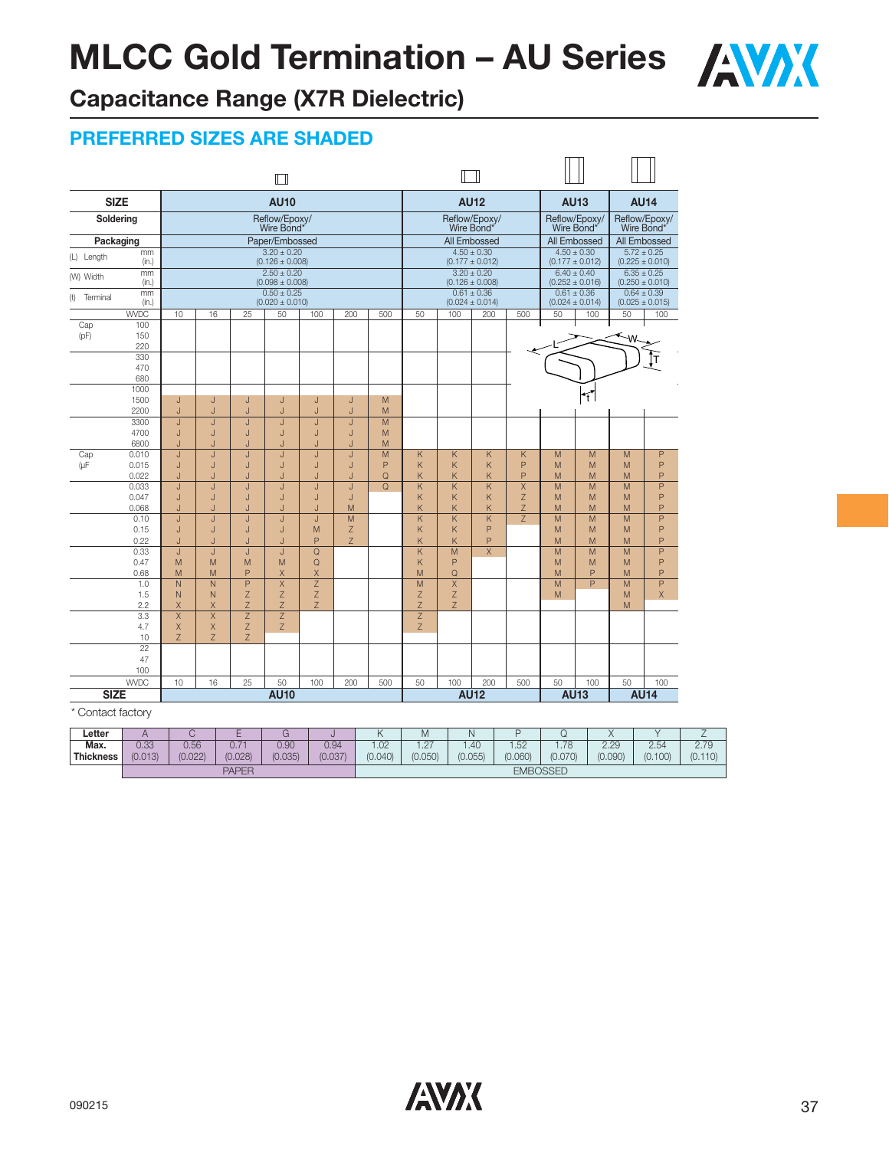

# **Capacitance Range (X7R Dielectric)**

### **PREFERRED SIZES ARE SHADED**

|                   |                    |                |                |                | M                                      |             |        |        |                |        |                                        |                |        |                                        |        |                                        |
|-------------------|--------------------|----------------|----------------|----------------|----------------------------------------|-------------|--------|--------|----------------|--------|----------------------------------------|----------------|--------|----------------------------------------|--------|----------------------------------------|
| <b>SIZE</b>       |                    |                |                |                | <b>AU10</b>                            |             |        |        |                |        | <b>AU12</b>                            |                |        | <b>AU13</b>                            |        | <b>AU14</b>                            |
| Soldering         |                    |                |                |                | Reflow/Epoxy/<br>Wire Bond'            |             |        |        |                |        | Reflow/Epoxy/<br>Wire Bond*            |                |        | Reflow/Epoxy/<br>Wire Bond*            |        | Reflow/Epoxy/<br>Wire Bond'            |
| Packaging         |                    |                |                |                | Paper/Embossed                         |             |        |        |                |        | All Embossed                           |                |        | All Embossed                           |        | All Embossed                           |
| (L) Length        | mm                 |                |                |                | $3.20 \pm 0.20$                        |             |        |        |                |        | $4.50 \pm 0.30$                        |                |        | $4.50 \pm 0.30$                        |        | $5.72 \pm 0.25$                        |
|                   | (in.)              |                |                |                | $(0.126 \pm 0.008)$<br>$2.50 \pm 0.20$ |             |        |        |                |        | $(0.177 \pm 0.012)$<br>$3.20 \pm 0.20$ |                |        | $(0.177 \pm 0.012)$<br>$6.40 \pm 0.40$ |        | $(0.225 \pm 0.010)$<br>$6.35 \pm 0.25$ |
| (W) Width         | mm<br>(in.)        |                |                |                | $(0.098 \pm 0.008)$                    |             |        |        |                |        | $(0.126 \pm 0.008)$                    |                |        | $(0.252 \pm 0.016)$                    |        | $(0.250 \pm 0.010)$                    |
| (t) Terminal      | mm                 |                |                |                | $0.50 \pm 0.25$                        |             |        |        |                |        | $0.61 \pm 0.36$                        |                |        | $0.61 \pm 0.36$                        |        | $0.64 \pm 0.39$                        |
|                   | (in.)              |                |                |                | $(0.020 \pm 0.010)$                    |             |        |        |                |        | $(0.024 \pm 0.014)$                    |                |        | $(0.024 \pm 0.014)$                    |        | $(0.025 \pm 0.015)$                    |
| Cap               | <b>WVDC</b><br>100 | 10             | 16             | 25             | 50                                     | 100         | 200    | 500    | 50             | 100    | 200                                    | 500            | 50     | 100                                    | 50     | 100                                    |
| (pF)              | 150                |                |                |                |                                        |             |        |        |                |        |                                        |                |        |                                        | ۰W     |                                        |
|                   | 220                |                |                |                |                                        |             |        |        |                |        |                                        |                |        |                                        |        |                                        |
|                   | 330                |                |                |                |                                        |             |        |        |                |        |                                        |                |        |                                        |        | т                                      |
|                   | 470<br>680         |                |                |                |                                        |             |        |        |                |        |                                        |                |        |                                        |        |                                        |
|                   | 1000               |                |                |                |                                        |             |        |        |                |        |                                        |                |        |                                        |        |                                        |
|                   | 1500               | J              | J              | J              | J                                      | J           | J      | M      |                |        |                                        |                |        | T                                      |        |                                        |
|                   | 2200               | J              | J              | J              | J                                      | J           | J      | M      |                |        |                                        |                |        |                                        |        |                                        |
|                   | 3300               | J              | J              | J              | J                                      | J           | J      | M      |                |        |                                        |                |        |                                        |        |                                        |
|                   | 4700<br>6800       | J<br>J         | J<br>J         | J<br>J         | J<br>J.                                | J<br>J.     | J<br>J | M<br>M |                |        |                                        |                |        |                                        |        |                                        |
| Cap               | 0.010              | J              |                | J.             | J                                      | J           | J      | M      | Κ              | K      | K.                                     | K              | M      | M                                      | M      | P                                      |
| (µF               | 0.015              | J              | J              | J              | J                                      | J           | J      | P      | K              | K      | K.                                     | P              | M      | M                                      | M      | P                                      |
|                   | 0.022              | J              |                |                |                                        |             | J      | Q      | Κ              | Κ      | Κ                                      | P              | M      | M                                      | M      | P                                      |
|                   | 0.033              | J              | J              | J              | J                                      | J           | J      | Q      | Κ              | Κ      | K                                      | Χ              | M      | M                                      | M      | P                                      |
|                   | 0.047              | J<br>J         | J<br>J         | J<br>J         | J<br>J                                 | J<br>. I    | J      |        | K<br>Κ         | K<br>K | K.<br>K.                               | Z<br>Z         | M<br>M | M                                      | M<br>M | P<br>P                                 |
|                   | 0.068<br>0.10      | $\cdot$        | . I            | J              | J                                      | J           | M<br>M |        | Κ              | K      | K.                                     | $\overline{7}$ | M      | M<br>M                                 | M      | P                                      |
|                   | 0.15               | J              | J              | J              | J                                      | M           | Z      |        | Κ              | Κ      | P                                      |                | M      | M                                      | M      | P                                      |
|                   | 0.22               | J              |                |                |                                        | P           | Z      |        | K              | K      | P                                      |                | M      | M                                      | M      | P                                      |
|                   | 0.33               | J              | J              | J              | J                                      | Q           |        |        | K              | M      | X                                      |                | M      | M                                      | M      | P                                      |
|                   | 0.47<br>0.68       | M              | M              | M<br>P         | M                                      | $\mathsf Q$ |        |        | Κ              | P<br>Q |                                        |                | M<br>M | M<br>P                                 | M      | P<br>P                                 |
|                   | 1.0                | M<br>N         | M<br>N         | P              | X<br>Χ                                 | X<br>Z      |        |        | M<br>M         | X      |                                        |                | M      | P                                      | M<br>M | P                                      |
|                   | 1.5                | N              | N.             | $\mathsf{Z}$   | Z                                      | Z           |        |        | Z              | Z      |                                        |                | M      |                                        | M      | X                                      |
|                   | 2.2                | X              | X              | Ζ              | Z                                      | Z           |        |        | Z              | Z      |                                        |                |        |                                        | M      |                                        |
|                   | 3.3                | $\overline{X}$ | $\overline{X}$ | $\overline{Z}$ | $\overline{Z}$                         |             |        |        | $\overline{Z}$ |        |                                        |                |        |                                        |        |                                        |
|                   | 4.7<br>10          | X<br>Z         | X<br>Z         | Z<br>Z         | Z                                      |             |        |        | Z              |        |                                        |                |        |                                        |        |                                        |
|                   | $\overline{22}$    |                |                |                |                                        |             |        |        |                |        |                                        |                |        |                                        |        |                                        |
|                   | 47                 |                |                |                |                                        |             |        |        |                |        |                                        |                |        |                                        |        |                                        |
|                   | 100                |                |                |                |                                        |             |        |        |                |        |                                        |                |        |                                        |        |                                        |
|                   | <b>WVDC</b>        | 10             | 16             | 25             | 50                                     | 100         | 200    | 500    | 50             | 100    | 200                                    | 500            | 50     | 100                                    | 50     | 100                                    |
| <b>SIZE</b>       |                    | <b>AU10</b>    |                |                |                                        |             |        |        | <b>AU12</b>    |        |                                        | <b>AU13</b>    |        | <b>AU14</b>                            |        |                                        |
| * Contact factory |                    |                |                |                |                                        |             |        |        |                |        |                                        |                |        |                                        |        |                                        |
| Letter            | A                  | C              |                | Ε              | G                                      | J           |        | Κ      | M              |        | N                                      | P              | Q      |                                        | X      | Y                                      |
| Max.              | 0.33               | 0.56           |                | $0.7 -$        | 0.90                                   |             | 0.94   | 1.02   | 1.27           |        | 1.40                                   | 1.52           | 1.78   |                                        | 2.29   | 2.54                                   |

**Thickness** (0.013) (0.022) (0.028) (0.035) (0.037) (0.040) (0.050) (0.055) (0.060) (0.070) (0.090) (0.100) (0.110) PAPER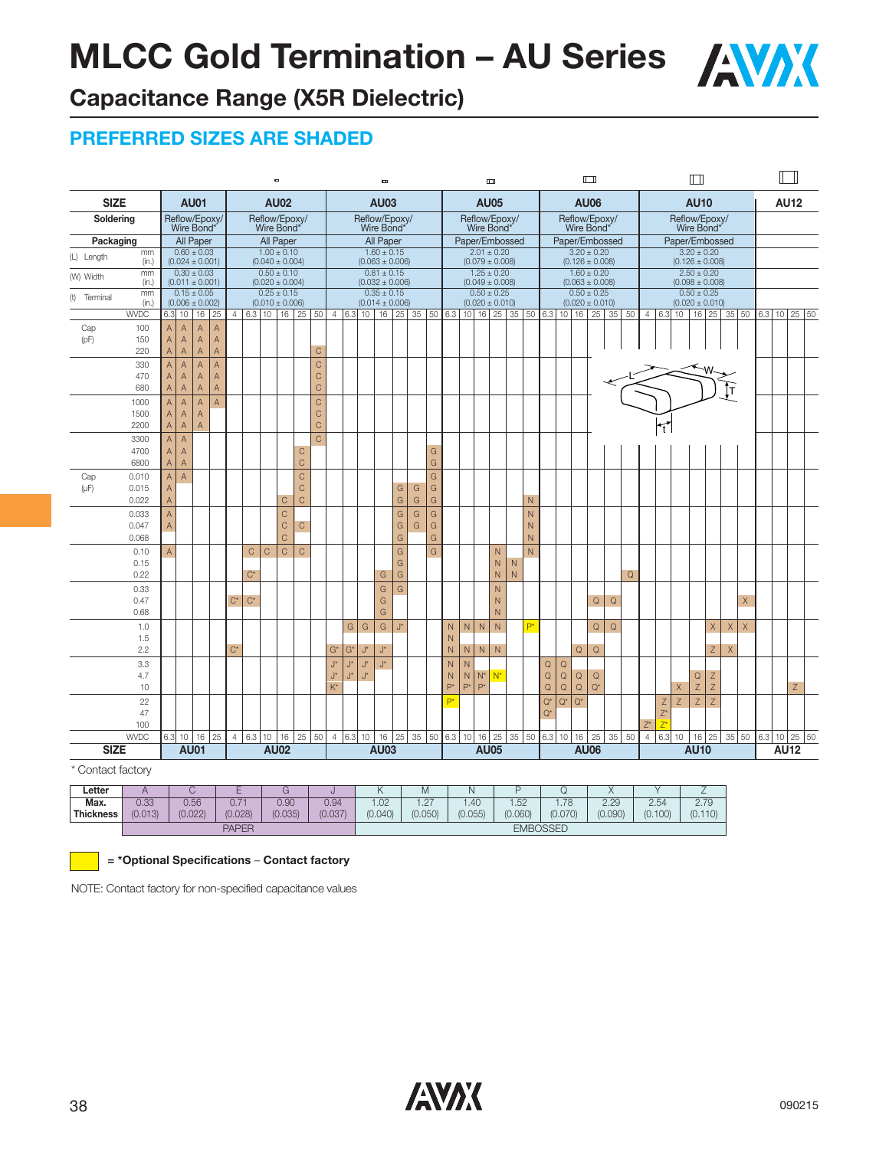

# **Capacitance Range (X5R Dielectric)**

#### **PREFERRED SIZES ARE SHADED**

|                 |                |        |                                        |                                  |                                  |                |             |             | $\blacksquare$                         |                               |       |                |          |                                        | $\blacksquare$ |         |               |                   |        |       |       | $\Box$                                 |                   |                |             |                       |                       | $\Box$                                 |             |             |                |                         |                             | $\Box$                                 |                |             |              |     |              |             |  |
|-----------------|----------------|--------|----------------------------------------|----------------------------------|----------------------------------|----------------|-------------|-------------|----------------------------------------|-------------------------------|-------|----------------|----------|----------------------------------------|----------------|---------|---------------|-------------------|--------|-------|-------|----------------------------------------|-------------------|----------------|-------------|-----------------------|-----------------------|----------------------------------------|-------------|-------------|----------------|-------------------------|-----------------------------|----------------------------------------|----------------|-------------|--------------|-----|--------------|-------------|--|
| <b>SIZE</b>     |                |        |                                        | <b>AU01</b>                      |                                  |                |             |             | <b>AU02</b>                            |                               |       |                |          |                                        | <b>AU03</b>    |         |               |                   |        |       |       | <b>AU05</b>                            |                   |                |             |                       |                       | <b>AU06</b>                            |             |             |                |                         |                             | <b>AU10</b>                            |                |             |              |     |              | <b>AU12</b> |  |
| Soldering       |                |        |                                        |                                  | Reflow/Epoxy/<br>Wire Bond*      |                |             |             | Reflow/Epoxy/<br>Wire Bond*            |                               |       |                |          | Reflow/Epoxy/<br>Wire Bond*            |                |         |               |                   |        |       |       | Reflow/Epoxy/<br>Wire Bond*            |                   |                |             |                       |                       | Reflow/Epoxy/<br>Wire Bond*            |             |             |                |                         | Reflow/Epoxy/<br>Wire Bond* |                                        |                |             |              |     |              |             |  |
| Packaging       |                |        | All Paper                              |                                  |                                  |                |             |             | All Paper                              |                               |       |                |          | All Paper                              |                |         |               |                   |        |       |       | Paper/Embossed                         |                   |                |             |                       |                       | Paper/Embossed                         |             |             |                |                         | Paper/Embossed              |                                        |                |             |              |     |              |             |  |
| (L) Length      | mm<br>(in.)    |        | $0.60 \pm 0.03$<br>$(0.024 \pm 0.001)$ |                                  |                                  |                |             |             | $1.00 \pm 0.10$<br>$(0.040 \pm 0.004)$ |                               |       |                |          | $1.60 \pm 0.15$<br>$(0.063 \pm 0.006)$ |                |         |               |                   |        |       |       | $2.01 \pm 0.20$<br>$(0.079 \pm 0.008)$ |                   |                |             |                       |                       | $3.20 \pm 0.20$<br>$(0.126 \pm 0.008)$ |             |             |                |                         |                             | $3.20 + 0.20$<br>$(0.126 \pm 0.008)$   |                |             |              |     |              |             |  |
| (W) Width       | mm<br>(in.)    |        | $0.30 \pm 0.03$<br>$(0.011 \pm 0.001)$ |                                  |                                  |                |             |             | $0.50 \pm 0.10$<br>$(0.020 \pm 0.004)$ |                               |       |                |          | $0.81 \pm 0.15$<br>$(0.032 \pm 0.006)$ |                |         |               |                   |        |       |       | $1.25 \pm 0.20$<br>$(0.049 \pm 0.008)$ |                   |                |             |                       |                       | $1.60 \pm 0.20$<br>$(0.063 \pm 0.008)$ |             |             |                |                         |                             | $2.50 \pm 0.20$<br>$(0.098 \pm 0.008)$ |                |             |              |     |              |             |  |
| (t)<br>Terminal | mm<br>(in.)    |        | $0.15 \pm 0.05$<br>$(0.006 \pm 0.002)$ |                                  |                                  |                |             |             | $0.25 \pm 0.15$<br>$(0.010 \pm 0.006)$ |                               |       |                |          | $0.35 \pm 0.15$<br>$(0.014 \pm 0.006)$ |                |         |               |                   |        |       |       | $0.50 \pm 0.25$<br>$(0.020 \pm 0.010)$ |                   |                |             |                       |                       | $0.50 \pm 0.25$<br>$(0.020 \pm 0.010)$ |             |             |                |                         |                             | $0.50 \pm 0.25$<br>$(0.020 \pm 0.010)$ |                |             |              |     |              |             |  |
|                 | <b>WVDC</b>    | 6.3    | 10                                     | 16                               | 25                               | $\overline{4}$ |             |             | $6.3$ 10 16 25                         |                               |       | 50 4 6.3 10    |          |                                        |                | $16$ 25 | 35            |                   |        |       |       | $\boxed{50}$ 6.3 10 16 25              | 35                |                | 50   6.3    | 10                    |                       | $16$ 25                                | 35          | 50          |                | 4 6.3                   |                             | $10$ $16$ $25$                         |                |             | $35 \mid 50$ |     | 6.3 10 25 50 |             |  |
| Cap             | 100            | A      | $\overline{A}$                         | $\overline{A}$                   | $\overline{A}$                   |                |             |             |                                        |                               |       |                |          |                                        |                |         |               |                   |        |       |       |                                        |                   |                |             |                       |                       |                                        |             |             |                |                         |                             |                                        |                |             |              |     |              |             |  |
| (pF)            | 150<br>220     | A<br>A | A<br>Α                                 | $\mathsf{A}$<br>$\overline{A}$   | $\overline{A}$<br>$\overline{A}$ |                |             |             |                                        | $\mathsf{C}$                  |       |                |          |                                        |                |         |               |                   |        |       |       |                                        |                   |                |             |                       |                       |                                        |             |             |                |                         |                             |                                        |                |             |              |     |              |             |  |
|                 | 330            | A      | $\overline{A}$                         | $\overline{A}$                   | $\mathsf{A}$                     |                |             |             |                                        | $\mathsf C$                   |       |                |          |                                        |                |         |               |                   |        |       |       |                                        |                   |                |             |                       |                       |                                        |             |             |                |                         |                             |                                        |                |             |              |     |              |             |  |
|                 | 470            | A      | $\mathsf A$                            | $\mathsf{A}$                     | $\mathsf{A}$                     |                |             |             |                                        | $\mathsf C$                   |       |                |          |                                        |                |         |               |                   |        |       |       |                                        |                   |                |             |                       |                       |                                        |             |             |                |                         |                             |                                        |                |             |              |     |              |             |  |
|                 | 680            | A      | A                                      | $\overline{A}$                   | $\overline{A}$                   |                |             |             |                                        | $\mathsf C$                   |       |                |          |                                        |                |         |               |                   |        |       |       |                                        |                   |                |             |                       |                       |                                        |             |             |                |                         |                             |                                        |                | İТ          |              |     |              |             |  |
|                 | 1000<br>1500   | Α<br>A | $\mathsf A$<br>$\mathsf A$             | $\overline{A}$<br>$\overline{A}$ | A                                |                |             |             |                                        | $\mathsf C$<br>$\overline{C}$ |       |                |          |                                        |                |         |               |                   |        |       |       |                                        |                   |                |             |                       |                       |                                        |             |             |                |                         |                             |                                        |                |             |              |     |              |             |  |
|                 | 2200           | A      | A                                      | $\overline{A}$                   |                                  |                |             |             |                                        | $\mathsf C$                   |       |                |          |                                        |                |         |               |                   |        |       |       |                                        |                   |                |             |                       |                       |                                        |             |             |                | Ŧ                       |                             |                                        |                |             |              |     |              |             |  |
|                 | 3300           | Α      | $\mathsf{A}$                           |                                  |                                  |                |             |             |                                        | $\mathsf{C}$                  |       |                |          |                                        |                |         |               |                   |        |       |       |                                        |                   |                |             |                       |                       |                                        |             |             |                |                         |                             |                                        |                |             |              |     |              |             |  |
|                 | 4700           | A      | A                                      |                                  |                                  |                |             |             |                                        | $\mathsf C$                   |       |                |          |                                        |                |         |               | G                 |        |       |       |                                        |                   |                |             |                       |                       |                                        |             |             |                |                         |                             |                                        |                |             |              |     |              |             |  |
|                 | 6800           | A      | A                                      |                                  |                                  |                |             |             |                                        | $\mathsf C$                   |       |                |          |                                        |                |         |               | G                 |        |       |       |                                        |                   |                |             |                       |                       |                                        |             |             |                |                         |                             |                                        |                |             |              |     |              |             |  |
| Cap             | 0.010          | A      | $\mathsf A$                            |                                  |                                  |                |             |             |                                        | $\mathsf{C}$                  |       |                |          |                                        |                |         |               | G                 |        |       |       |                                        |                   |                |             |                       |                       |                                        |             |             |                |                         |                             |                                        |                |             |              |     |              |             |  |
| $(\mu F)$       | 0.015<br>0.022 | A<br>A |                                        |                                  |                                  |                |             |             | C                                      | $\mathsf C$<br>$\mathsf{C}$   |       |                |          |                                        |                | G<br>G  | G<br>G        | G<br>$\mathsf{G}$ |        |       |       |                                        |                   | N              |             |                       |                       |                                        |             |             |                |                         |                             |                                        |                |             |              |     |              |             |  |
|                 | 0.033          | A      |                                        |                                  |                                  |                |             |             | C                                      |                               |       |                |          |                                        |                | G       | ${\mathsf G}$ | ${\mathsf G}$     |        |       |       |                                        |                   | N              |             |                       |                       |                                        |             |             |                |                         |                             |                                        |                |             |              |     |              |             |  |
|                 | 0.047          | A      |                                        |                                  |                                  |                |             |             | C                                      | $\overline{C}$                |       |                |          |                                        |                | G       | G             | ${\mathsf G}$     |        |       |       |                                        |                   | N              |             |                       |                       |                                        |             |             |                |                         |                             |                                        |                |             |              |     |              |             |  |
|                 | 0.068          |        |                                        |                                  |                                  |                |             |             | Ċ                                      |                               |       |                |          |                                        |                | G       |               | G                 |        |       |       |                                        |                   | N              |             |                       |                       |                                        |             |             |                |                         |                             |                                        |                |             |              |     |              |             |  |
|                 | 0.10           | A      |                                        |                                  |                                  |                | $\mathsf C$ | $\mathsf C$ | $\mathsf{C}$                           | $\mathsf{C}$                  |       |                |          |                                        |                | G       |               | G                 |        |       |       | N                                      |                   | $\overline{N}$ |             |                       |                       |                                        |             |             |                |                         |                             |                                        |                |             |              |     |              |             |  |
|                 | 0.15<br>0.22   |        |                                        |                                  |                                  |                | $C^*$       |             |                                        |                               |       |                |          |                                        | G              | G<br>G  |               |                   |        |       |       | N<br>$\overline{N}$                    | N<br>$\mathsf{N}$ |                |             |                       |                       |                                        |             | $\mathsf Q$ |                |                         |                             |                                        |                |             |              |     |              |             |  |
|                 | 0.33           |        |                                        |                                  |                                  |                |             |             |                                        |                               |       |                |          |                                        | G              | G       |               |                   |        |       |       | N                                      |                   |                |             |                       |                       |                                        |             |             |                |                         |                             |                                        |                |             |              |     |              |             |  |
|                 | 0.47           |        |                                        |                                  |                                  | $C^*$          | $C^*$       |             |                                        |                               |       |                |          |                                        | G              |         |               |                   |        |       |       | N                                      |                   |                |             |                       |                       | $\mathsf Q$                            | $\mathsf Q$ |             |                |                         |                             |                                        |                |             | $\times$     |     |              |             |  |
|                 | 0.68           |        |                                        |                                  |                                  |                |             |             |                                        |                               |       |                |          |                                        | G              |         |               |                   |        |       |       | N                                      |                   |                |             |                       |                       |                                        |             |             |                |                         |                             |                                        |                |             |              |     |              |             |  |
|                 | 1.0            |        |                                        |                                  |                                  |                |             |             |                                        |                               |       | G              |          | G                                      | ${\mathsf G}$  | J*      |               |                   | N      | N     | N     | $\overline{N}$                         |                   | Þ*             |             |                       |                       | $\mathsf Q$                            | $\mathsf Q$ |             |                |                         |                             |                                        | $\times$       | $\mathsf X$ | $\times$     |     |              |             |  |
|                 | 1.5<br>2.2     |        |                                        |                                  |                                  | $C^*$          |             |             |                                        |                               | $G^*$ | $G^*$          |          | J*                                     | $J^*$          |         |               |                   | N<br>N | N     | N     | N                                      |                   |                |             |                       | Q                     | $\mathsf Q$                            |             |             |                |                         |                             |                                        | $\mathsf{Z}$   | $\times$    |              |     |              |             |  |
|                 | 3.3            |        |                                        |                                  |                                  |                |             |             |                                        |                               |       | J*<br>J*       |          | J*                                     | $J^*$          |         |               |                   | N      | N     |       |                                        |                   |                | $\mathsf Q$ | $\mathsf Q$           |                       |                                        |             |             |                |                         |                             |                                        |                |             |              |     |              |             |  |
|                 | 4.7            |        |                                        |                                  |                                  |                |             |             |                                        |                               |       | J*<br>J*       |          | J*                                     |                |         |               |                   | N      | N     | $N^*$ | $N^*$                                  |                   |                | Q           | $\mathsf Q$           | $\mathsf Q$           | $\mathsf Q$                            |             |             |                |                         |                             | $\mathsf Q$                            | Z              |             |              |     |              |             |  |
|                 | 10             |        |                                        |                                  |                                  |                |             |             |                                        |                               |       | $K^*$          |          |                                        |                |         |               |                   | $P^*$  | $P^*$ | $P^*$ |                                        |                   |                | $\mathsf Q$ | $\hbox{\large \bf Q}$ | $\hbox{\large \bf Q}$ | $Q^*$                                  |             |             |                |                         | X                           | $\mathsf Z$                            | $\mathsf{Z}$   |             |              |     |              | Z           |  |
|                 | 22             |        |                                        |                                  |                                  |                |             |             |                                        |                               |       |                |          |                                        |                |         |               |                   | P*     |       |       |                                        |                   |                | $Q^i$       | $Q^*$                 | $Q^*$                 |                                        |             |             |                | Z                       | Z                           | $\overline{z}$                         | $\overline{z}$ |             |              |     |              |             |  |
|                 | 47<br>100      |        |                                        |                                  |                                  |                |             |             |                                        |                               |       |                |          |                                        |                |         |               |                   |        |       |       |                                        |                   |                | $Q^*$       |                       |                       |                                        |             |             | $Z^*$          | $Z^*$<br>$\overline{7}$ |                             |                                        |                |             |              |     |              |             |  |
|                 | <b>WVDC</b>    | 6.3    | 10                                     | 16                               | 25                               | $\overline{4}$ | 6.3         | 10          | 16                                     | 25<br>50                      |       | $\overline{4}$ | $6.3$ 10 |                                        | 16             | 25      | 35            | 50                | 6.3    | 10    |       | $16$ 25                                | 35                | 50             | 6.3         | 10                    | 16                    | 25                                     | 35          | 50          | $\overline{4}$ | 6.3                     | 10                          | 16                                     | 25             |             | 35 50        | 6.3 |              | 10 25 50    |  |
| <b>SIZE</b>     |                |        |                                        | <b>AU01</b>                      |                                  |                |             |             | <b>AU02</b>                            |                               |       |                |          |                                        | <b>AU03</b>    |         |               |                   |        |       |       | <b>AU05</b>                            |                   |                |             |                       |                       | <b>AU06</b>                            |             |             |                |                         |                             | <b>AU10</b>                            |                |             |              |     | <b>AU12</b>  |             |  |
| $\sim$          |                |        |                                        |                                  |                                  |                |             |             |                                        |                               |       |                |          |                                        |                |         |               |                   |        |       |       |                                        |                   |                |             |                       |                       |                                        |             |             |                |                         |                             |                                        |                |             |              |     |              |             |  |

Contact factory

| Letter    |         |         | -            |         |         | $\sqrt{ }$            | M                      |         |                 |         | $\lambda$ |         | <u>_</u> |
|-----------|---------|---------|--------------|---------|---------|-----------------------|------------------------|---------|-----------------|---------|-----------|---------|----------|
| Max.      | 0.33    | 0.56    | ∪. ı         | 0.90    | 0.94    | $\overline{0}$<br>.UZ | $\overline{2}$<br>. Z. | .40     | .52             | 70      | 2.29      | 2.54    | 2.79     |
| Thickness | (0.013) | (0.022) | (0.028)      | (0.035) | (0.037) | (0.040)               | (0.050)                | (0.055) | (0.060)         | (0.070) | (0.090)   | (0.100) | (0.110)  |
|           |         |         | <b>PAPER</b> |         |         |                       |                        |         | <b>EMBOSSED</b> |         |           |         |          |



**= \*Optional Specifications** – **Contact factory**

NOTE: Contact factory for non-specified capacitance values